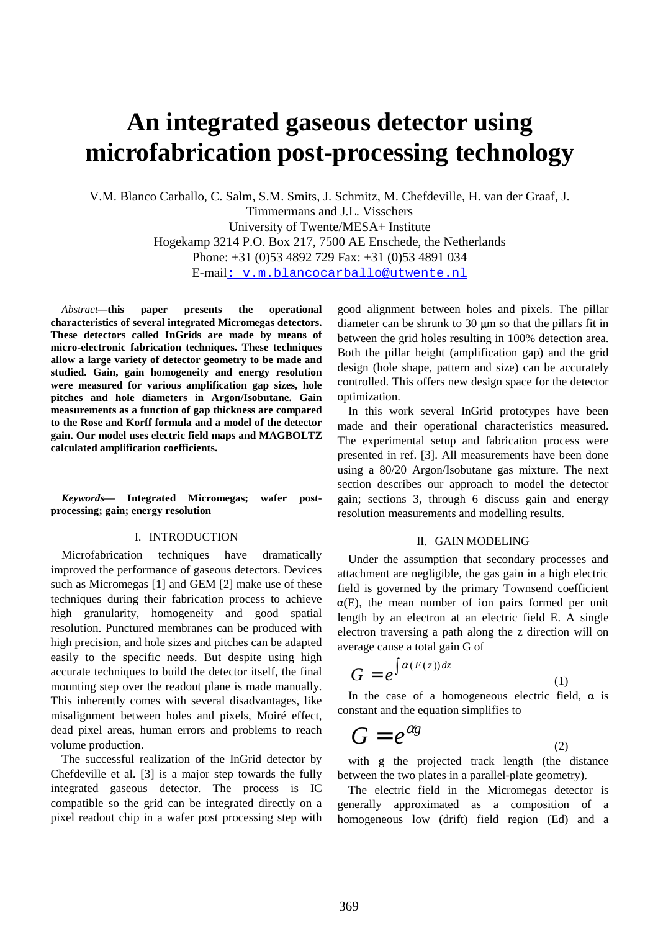# **An integrated gaseous detector using microfabrication post-processing technology**

V.M. Blanco Carballo, C. Salm, S.M. Smits, J. Schmitz, M. Chefdeville, H. van der Graaf, J. Timmermans and J.L. Visschers University of Twente/MESA+ Institute Hogekamp 3214 P.O. Box 217, 7500 AE Enschede, the Netherlands Phone: +31 (0)53 4892 729 Fax: +31 (0)53 4891 034 E-mail: v.m.blancocarballo@utwente.nl

*Abstract—***this paper presents the operational characteristics of several integrated Micromegas detectors. These detectors called InGrids are made by means of micro-electronic fabrication techniques. These techniques allow a large variety of detector geometry to be made and studied. Gain, gain homogeneity and energy resolution were measured for various amplification gap sizes, hole pitches and hole diameters in Argon/Isobutane. Gain measurements as a function of gap thickness are compared to the Rose and Korff formula and a model of the detector gain. Our model uses electric field maps and MAGBOLTZ calculated amplification coefficients.** 

*Keywords***— Integrated Micromegas; wafer postprocessing; gain; energy resolution** 

#### I. INTRODUCTION

Microfabrication techniques have dramatically improved the performance of gaseous detectors. Devices such as Micromegas [1] and GEM [2] make use of these techniques during their fabrication process to achieve high granularity, homogeneity and good spatial resolution. Punctured membranes can be produced with high precision, and hole sizes and pitches can be adapted easily to the specific needs. But despite using high accurate techniques to build the detector itself, the final mounting step over the readout plane is made manually. This inherently comes with several disadvantages, like misalignment between holes and pixels, Moiré effect, dead pixel areas, human errors and problems to reach volume production.

The successful realization of the InGrid detector by Chefdeville et al. [3] is a major step towards the fully integrated gaseous detector. The process is IC compatible so the grid can be integrated directly on a pixel readout chip in a wafer post processing step with good alignment between holes and pixels. The pillar diameter can be shrunk to 30 m so that the pillars fit in between the grid holes resulting in 100% detection area. Both the pillar height (amplification gap) and the grid design (hole shape, pattern and size) can be accurately controlled. This offers new design space for the detector optimization.

In this work several InGrid prototypes have been made and their operational characteristics measured. The experimental setup and fabrication process were presented in ref. [3]. All measurements have been done using a 80/20 Argon/Isobutane gas mixture. The next section describes our approach to model the detector gain; sections 3, through 6 discuss gain and energy resolution measurements and modelling results.

#### II. GAIN MODELING

Under the assumption that secondary processes and attachment are negligible, the gas gain in a high electric field is governed by the primary Townsend coefficient  $\alpha(E)$ , the mean number of ion pairs formed per unit length by an electron at an electric field E. A single electron traversing a path along the z direction will on average cause a total gain G of

$$
G = e^{\int \alpha(E(z))dz} \tag{1}
$$

In the case of a homogeneous electric field,  $\alpha$  is constant and the equation simplifies to

$$
G = e^{\alpha g} \tag{2}
$$

with g the projected track length (the distance between the two plates in a parallel-plate geometry).

The electric field in the Micromegas detector is generally approximated as a composition of a homogeneous low (drift) field region (Ed) and a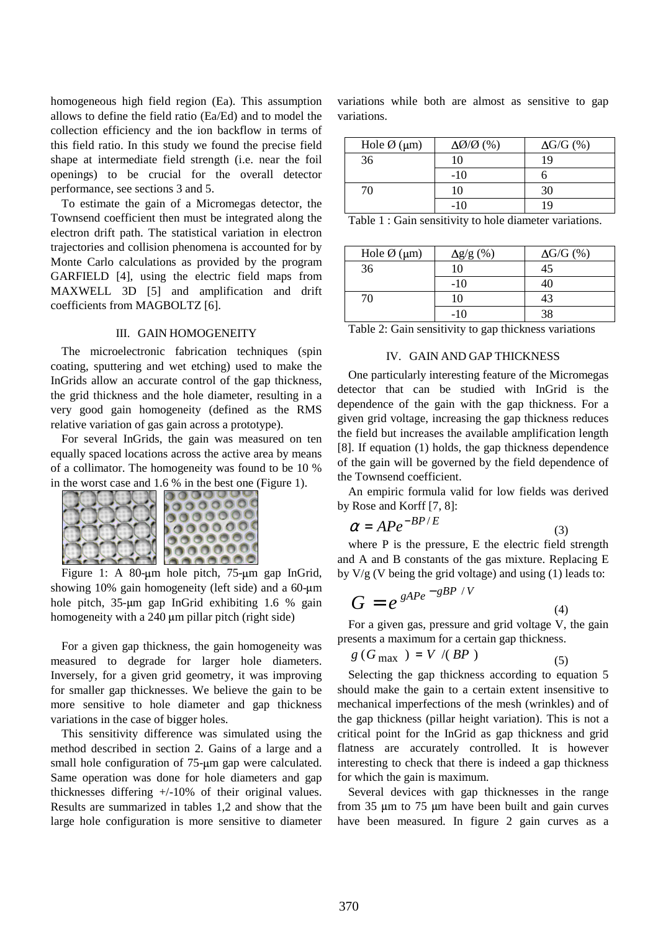homogeneous high field region (Ea). This assumption allows to define the field ratio (Ea/Ed) and to model the collection efficiency and the ion backflow in terms of this field ratio. In this study we found the precise field shape at intermediate field strength (i.e. near the foil openings) to be crucial for the overall detector performance, see sections 3 and 5.

To estimate the gain of a Micromegas detector, the Townsend coefficient then must be integrated along the electron drift path. The statistical variation in electron trajectories and collision phenomena is accounted for by Monte Carlo calculations as provided by the program GARFIELD [4], using the electric field maps from MAXWELL 3D [5] and amplification and drift coefficients from MAGBOLTZ [6].

#### III. GAIN HOMOGENEITY

The microelectronic fabrication techniques (spin coating, sputtering and wet etching) used to make the InGrids allow an accurate control of the gap thickness, the grid thickness and the hole diameter, resulting in a very good gain homogeneity (defined as the RMS relative variation of gas gain across a prototype).

For several InGrids, the gain was measured on ten equally spaced locations across the active area by means of a collimator. The homogeneity was found to be 10 % in the worst case and 1.6 % in the best one (Figure 1).



Figure 1: A 80- $\mu$ m hole pitch, 75- $\mu$ m gap InGrid, showing 10% gain homogeneity (left side) and a  $60$ - $\mu$ m hole pitch, 35-um gap InGrid exhibiting 1.6 % gain homogeneity with a 240 µm pillar pitch (right side)

For a given gap thickness, the gain homogeneity was measured to degrade for larger hole diameters. Inversely, for a given grid geometry, it was improving for smaller gap thicknesses. We believe the gain to be more sensitive to hole diameter and gap thickness variations in the case of bigger holes.

This sensitivity difference was simulated using the method described in section 2. Gains of a large and a small hole configuration of 75-um gap were calculated. Same operation was done for hole diameters and gap thicknesses differing +/-10% of their original values. Results are summarized in tables 1,2 and show that the large hole configuration is more sensitive to diameter

variations while both are almost as sensitive to gap variations.

| Hole $\varnothing$ (µm) | $\Delta\emptyset/\emptyset$ (%) | $\Delta G/G$ (%) |  |
|-------------------------|---------------------------------|------------------|--|
| 36                      | 10                              | 19               |  |
|                         | $-10$                           |                  |  |
| 70                      | 10                              | 30               |  |
|                         | $-10$                           | 19               |  |

Table 1 : Gain sensitivity to hole diameter variations.

| Hole $\varnothing$ (µm) | $\Delta g/g$ (%) | $\Delta G/G$ (%) |
|-------------------------|------------------|------------------|
| 36                      | 10               | 45               |
|                         | $-10$            |                  |
| 70                      | 10               | 43               |
|                         | $-10$            |                  |

Table 2: Gain sensitivity to gap thickness variations

#### IV. GAIN AND GAP THICKNESS

One particularly interesting feature of the Micromegas detector that can be studied with InGrid is the dependence of the gain with the gap thickness. For a given grid voltage, increasing the gap thickness reduces the field but increases the available amplification length [8]. If equation (1) holds, the gap thickness dependence of the gain will be governed by the field dependence of the Townsend coefficient.

An empiric formula valid for low fields was derived by Rose and Korff [7, 8]:

$$
\alpha = A P e^{-B P / E} \tag{3}
$$

where P is the pressure, E the electric field strength and A and B constants of the gas mixture. Replacing E by  $V/g$  (V being the grid voltage) and using (1) leads to:

$$
G = e^{gAPe^{-gBP/V}}
$$
\n<sup>(4)</sup>

For a given gas, pressure and grid voltage V, the gain presents a maximum for a certain gap thickness.

$$
g\left(G_{\max}\right) = V/(BP) \tag{5}
$$

Selecting the gap thickness according to equation 5 should make the gain to a certain extent insensitive to mechanical imperfections of the mesh (wrinkles) and of the gap thickness (pillar height variation). This is not a critical point for the InGrid as gap thickness and grid flatness are accurately controlled. It is however interesting to check that there is indeed a gap thickness for which the gain is maximum.

Several devices with gap thicknesses in the range from  $35 \mu m$  to  $75 \mu m$  have been built and gain curves have been measured. In figure 2 gain curves as a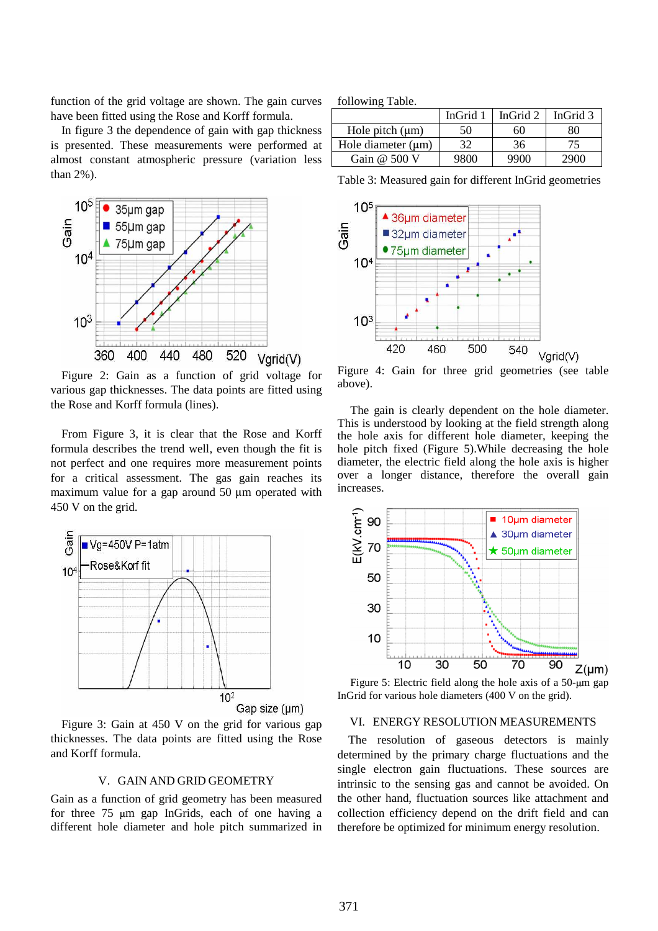function of the grid voltage are shown. The gain curves have been fitted using the Rose and Korff formula.

In figure 3 the dependence of gain with gap thickness is presented. These measurements were performed at almost constant atmospheric pressure (variation less than 2%).



Figure 2: Gain as a function of grid voltage for various gap thicknesses. The data points are fitted using the Rose and Korff formula (lines).

From Figure 3, it is clear that the Rose and Korff formula describes the trend well, even though the fit is not perfect and one requires more measurement points for a critical assessment. The gas gain reaches its maximum value for a gap around 50  $\mu$ m operated with 450 V on the grid.



Gap size (µm)

Figure 3: Gain at 450 V on the grid for various gap thicknesses. The data points are fitted using the Rose and Korff formula.

### V. GAIN AND GRID GEOMETRY

Gain as a function of grid geometry has been measured for three  $75 \mu m$  gap InGrids, each of one having a different hole diameter and hole pitch summarized in following Table.

|                         | InGrid 1 | InGrid 2 | InGrid 3 |
|-------------------------|----------|----------|----------|
| Hole pitch $(\mu m)$    | 50       | 60       | 80       |
| Hole diameter $(\mu m)$ | 32       | 36       | 75       |
| Gain $@$ 500 V          | 9800     | 9900     | 2900     |

Table 3: Measured gain for different InGrid geometries



Figure 4: Gain for three grid geometries (see table above).

The gain is clearly dependent on the hole diameter. This is understood by looking at the field strength along the hole axis for different hole diameter, keeping the hole pitch fixed (Figure 5).While decreasing the hole diameter, the electric field along the hole axis is higher over a longer distance, therefore the overall gain increases.



Figure 5: Electric field along the hole axis of a 50-um gap InGrid for various hole diameters (400 V on the grid).

#### VI. ENERGY RESOLUTION MEASUREMENTS

The resolution of gaseous detectors is mainly determined by the primary charge fluctuations and the single electron gain fluctuations. These sources are intrinsic to the sensing gas and cannot be avoided. On the other hand, fluctuation sources like attachment and collection efficiency depend on the drift field and can therefore be optimized for minimum energy resolution.